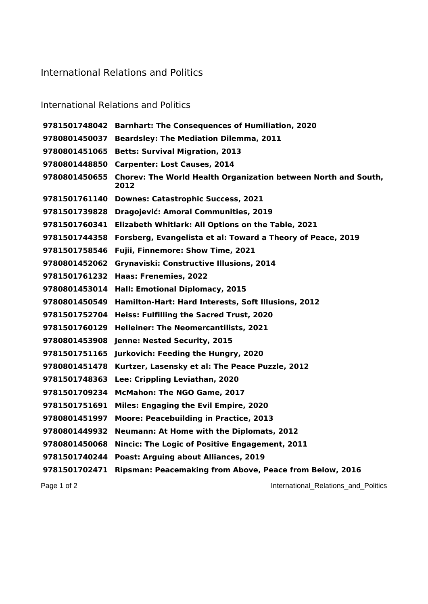## International Relations and Politics

## International Relations and Politics

 **Barnhart: The Consequences of Humiliation, 2020 Beardsley: The Mediation Dilemma, 2011 Betts: Survival Migration, 2013 Carpenter: Lost Causes, 2014 Chorev: The World Health Organization between North and South, Downes: Catastrophic Success, 2021 Dragojević: Amoral Communities, 2019 Elizabeth Whitlark: All Options on the Table, 2021 Forsberg, Evangelista et al: Toward a Theory of Peace, 2019 Fujii, Finnemore: Show Time, 2021 Grynaviski: Constructive Illusions, 2014 Haas: Frenemies, 2022 Hall: Emotional Diplomacy, 2015 Hamilton-Hart: Hard Interests, Soft Illusions, 2012 Heiss: Fulfilling the Sacred Trust, 2020 Helleiner: The Neomercantilists, 2021 Jenne: Nested Security, 2015 Jurkovich: Feeding the Hungry, 2020 Kurtzer, Lasensky et al: The Peace Puzzle, 2012 Lee: Crippling Leviathan, 2020 McMahon: The NGO Game, 2017 Miles: Engaging the Evil Empire, 2020 Moore: Peacebuilding in Practice, 2013 Neumann: At Home with the Diplomats, 2012 Nincic: The Logic of Positive Engagement, 2011 Poast: Arguing about Alliances, 2019 Ripsman: Peacemaking from Above, Peace from Below, 2016**

Page 1 of 2 **International\_Relations\_and\_Politics**